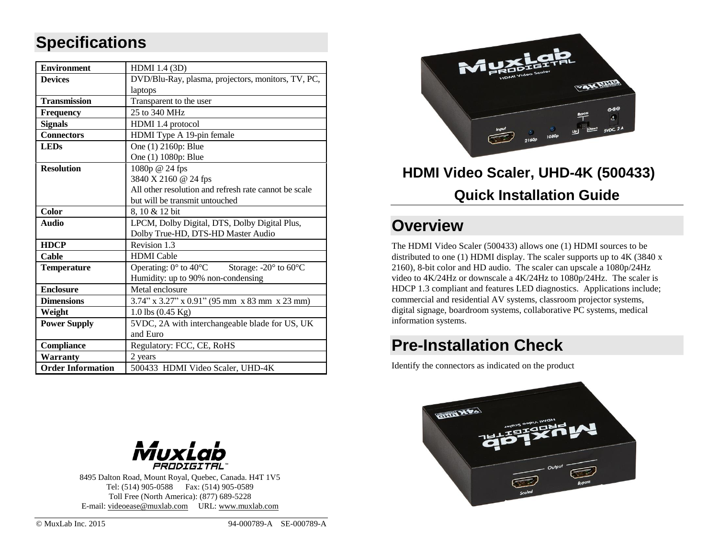### **Specifications**

| <b>Environment</b>       | HDMI 1.4 (3D)                                                            |  |  |
|--------------------------|--------------------------------------------------------------------------|--|--|
| <b>Devices</b>           | DVD/Blu-Ray, plasma, projectors, monitors, TV, PC,                       |  |  |
|                          | laptops                                                                  |  |  |
| <b>Transmission</b>      | Transparent to the user                                                  |  |  |
| <b>Frequency</b>         | 25 to 340 MHz                                                            |  |  |
| <b>Signals</b>           | HDMI 1.4 protocol                                                        |  |  |
| <b>Connectors</b>        | HDMI Type A 19-pin female                                                |  |  |
| <b>LEDs</b>              | One (1) 2160p: Blue                                                      |  |  |
|                          | One (1) 1080p: Blue                                                      |  |  |
| <b>Resolution</b>        | 1080p @ 24 fps                                                           |  |  |
|                          | 3840 X 2160 @ 24 fps                                                     |  |  |
|                          | All other resolution and refresh rate cannot be scale                    |  |  |
|                          | but will be transmit untouched                                           |  |  |
| Color                    | 8, 10 & 12 bit                                                           |  |  |
| <b>Audio</b>             | LPCM, Dolby Digital, DTS, Dolby Digital Plus,                            |  |  |
|                          | Dolby True-HD, DTS-HD Master Audio                                       |  |  |
| <b>HDCP</b>              | Revision 1.3                                                             |  |  |
| Cable                    | <b>HDMI</b> Cable                                                        |  |  |
| <b>Temperature</b>       | Operating: $0^{\circ}$ to $40^{\circ}$ C Storage: -20° to $60^{\circ}$ C |  |  |
|                          | Humidity: up to 90% non-condensing                                       |  |  |
| <b>Enclosure</b>         | Metal enclosure                                                          |  |  |
| <b>Dimensions</b>        | 3.74" x 3.27" x 0.91" (95 mm x 83 mm x 23 mm)                            |  |  |
| Weight                   | $1.0$ lbs $(0.45$ Kg)                                                    |  |  |
| <b>Power Supply</b>      | 5VDC, 2A with interchangeable blade for US, UK                           |  |  |
|                          | and Euro                                                                 |  |  |
| <b>Compliance</b>        | Regulatory: FCC, CE, RoHS                                                |  |  |
| <b>Warranty</b>          | 2 years                                                                  |  |  |
| <b>Order Information</b> | 500433 HDMI Video Scaler, UHD-4K                                         |  |  |



# **HDMI Video Scaler, UHD-4K (500433) Quick Installation Guide**

### **Overview**

The HDMI Video Scaler (500433) allows one (1) HDMI sources to be distributed to one (1) HDMI display. The scaler supports up to 4K (3840 x 2160), 8-bit color and HD audio. The scaler can upscale a 1080p/24Hz video to 4K/24Hz or downscale a 4K/24Hz to 1080p/24Hz. The scaler is HDCP 1.3 compliant and features LED diagnostics. Applications include; commercial and residential AV systems, classroom projector systems, digital signage, boardroom systems, collaborative PC systems, medical information systems.

## **Pre-Installation Check**

Identify the connectors as indicated on the product





8495 Dalton Road, Mount Royal, Quebec, Canada. H4T 1V5 Tel: (514) 905-0588 Fax: (514) 905-0589 Toll Free (North America): (877) 689-5228 E-mail: [videoease@muxlab.com](mailto:videoease@muxlab.com) URL[: www.muxlab.com](file:///C:/Users/m.bohbot/AppData/Local/Microsoft/Windows/Temporary%20Internet%20Files/Content.Outlook/5Q44Q1SU/Original%20Documents/www.muxlab.com)

© MuxLab Inc. 2015 94-000789-A SE-000789-A